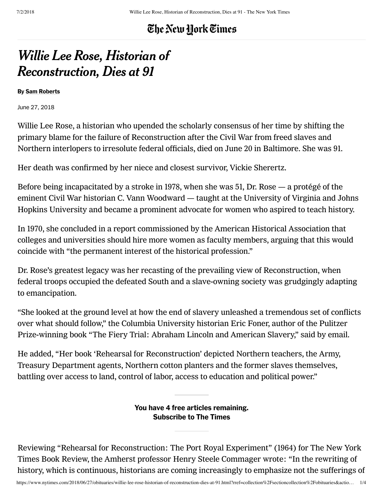## The New York Times

# Willie Lee Rose, Historian of Reconstruction, Dies at 91

By [Sam Roberts](http://www.nytimes.com/by/sam-roberts)

June 27, 2018

Willie Lee Rose, a historian who upended the scholarly consensus of her time by shifting the primary blame for the failure of Reconstruction after the Civil War from freed slaves and Northern interlopers to irresolute federal officials, died on June 20 in Baltimore. She was 91.

Her death was confirmed by her niece and closest survivor, Vickie Sherertz.

Before being incapacitated by a stroke in 1978, when she was 51, Dr. Rose — a protégé of the eminent Civil War historian [C. Vann Woodward](https://www.nytimes.com/1999/12/19/us/c-vann-woodward-historian-who-wrote-extensively-about-the-south-dies-at-91.html) — taught at the University of Virginia and Johns Hopkins University and became a prominent advocate for women who aspired to teach history.

In 1970, she concluded in a report commissioned by the American Historical Association that colleges and universities should hire more women as faculty members, arguing that this would coincide with "the permanent interest of the historical profession."

Dr. Rose's greatest legacy was her recasting of the prevailing view of Reconstruction, when federal troops occupied the defeated South and a slave‑owning society was grudgingly adapting to emancipation.

"She looked at the ground level at how the end of slavery unleashed a tremendous set of conflicts over what should follow," the Columbia University historian Eric Foner, author of the Pulitzer Prize-winning book "The Fiery Trial: Abraham Lincoln and American Slavery," said by email.

He added, "Her book 'Rehearsal for Reconstruction' depicted Northern teachers, the Army, Treasury Department agents, Northern cotton planters and the former slaves themselves, battling over access to land, control of labor, access to education and political power."

> [Subscribe](https://www.nytimes.com/subscription/multiproduct/lp8HYKU.html?campaignId=6YH9R&return_url=https%3A%2F%2Fwww.nytimes.com%2F2018%2F06%2F27%2Fobituaries%2Fwillie-lee-rose-historian-of-reconstruction-dies-at-91.html%3Frref%3Dcollection%252Fsectioncollection%252Fobituaries%26action%3Dclick%26contentCollection%3Dobituaries%26region%3Dstream%26module%3Dstream_unit%26version%3Dlatest%26contentPlacement%3D2%26pgtype%3Dsectionfront) to The Times You have 4 free articles remaining.

[Reviewing "Rehearsal for Reconstruction:](https://www.nytimes.com/1964/09/13/archives/a-shadow-stretched-across-our-history-for-a-hundred-years.html) The Port Royal Experiment" (1964) for The New York Times Book Review, the Amherst professor [Henry Steele Commager](https://www.nytimes.com/1998/03/03/arts/henry-steele-commager-history-scholar-defender-constitution-dead-95.html) wrote: "In the rewriting of history, which is continuous, historians are coming increasingly to emphasize not the sufferings of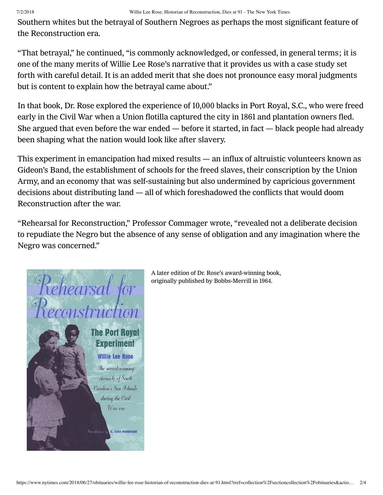## 7/2/2018 Willie Lee Rose, Historian of Reconstruction, Dies at 91 - The New York Times

Southern whites but the betrayal of Southern Negroes as perhaps the most significant feature of the Reconstruction era.

"That betrayal," he continued, "is commonly acknowledged, or confessed, in general terms; it is one of the many merits of Willie Lee Rose's narrative that it provides us with a case study set forth with careful detail. It is an added merit that she does not pronounce easy moral judgments but is content to explain how the betrayal came about."

In that book, Dr. Rose explored the experience of 10,000 blacks in Port Royal, S.C., who were freed early in the Civil War when a Union flotilla captured the city in 1861 and plantation owners fled. She argued that even before the war ended — before it started, in fact — black people had already been shaping what the nation would look like after slavery.

This experiment in emancipation had mixed results — an influx of altruistic volunteers known as Gideon's Band, the establishment of schools for the freed slaves, their conscription by the Union Army, and an economy that was self-sustaining but also undermined by capricious government decisions about distributing land — all of which foreshadowed the conflicts that would doom Reconstruction after the war.

"Rehearsal for Reconstruction," Professor Commager wrote, "revealed not a deliberate decision to repudiate the Negro but the absence of any sense of obligation and any imagination where the Negro was concerned."



A later edition of Dr. Rose's award‑winning book, originally published by Bobbs‑Merrill in 1964.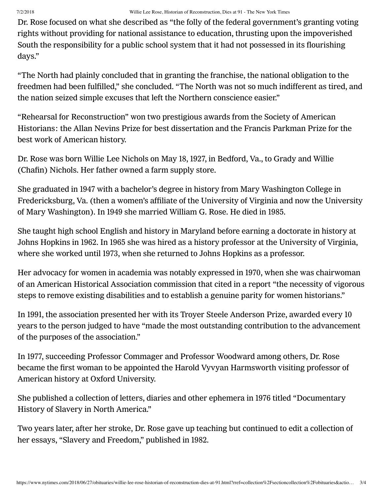Dr. Rose focused on what she described as "the folly of the federal government's granting voting rights without providing for national assistance to education, thrusting upon the impoverished South the responsibility for a public school system that it had not possessed in its flourishing days."

"The North had plainly concluded that in granting the franchise, the national obligation to the freedmen had been fulfilled," she concluded. "The North was not so much indifferent as tired, and the nation seized simple excuses that left the Northern conscience easier."

"Rehearsal for Reconstruction" won two prestigious awards from the Society of American Historians: the Allan Nevins Prize for best dissertation and the Francis Parkman Prize for the best work of American history.

Dr. Rose was born Willie Lee Nichols on May 18, 1927, in Bedford, Va., to Grady and Willie (Chafin) Nichols. Her father owned a farm supply store.

She graduated in 1947 with a bachelor's degree in history from Mary Washington College in Fredericksburg, Va. (then a women's affiliate of the University of Virginia and now the University of Mary Washington). In 1949 she married William G. Rose. He died in 1985.

She taught high school English and history in Maryland before earning a doctorate in history at Johns Hopkins in 1962. In 1965 she was hired as a history professor at the University of Virginia, where she worked until 1973, when she returned to Johns Hopkins as a professor.

Her advocacy for women in academia was notably expressed in 1970, when she was chairwoman of an American Historical Association commission that cited in a report "the necessity of vigorous steps to remove existing disabilities and to establish a genuine parity for women historians."

In 1991, the association presented her with its Troyer Steele Anderson Prize, awarded every 10 years to the person judged to have "made the most outstanding contribution to the advancement of the purposes of the association."

In 1977, succeeding Professor Commager and Professor Woodward among others, Dr. Rose became the first woman to be appointed the Harold Vyvyan Harmsworth visiting professor of American history at Oxford University.

She published a collection of letters, diaries and other ephemera in 1976 titled "Documentary History of Slavery in North America."

Two years later, after her stroke, Dr. Rose gave up teaching but continued to edit a collection of her essays, "Slavery and Freedom," published in 1982.